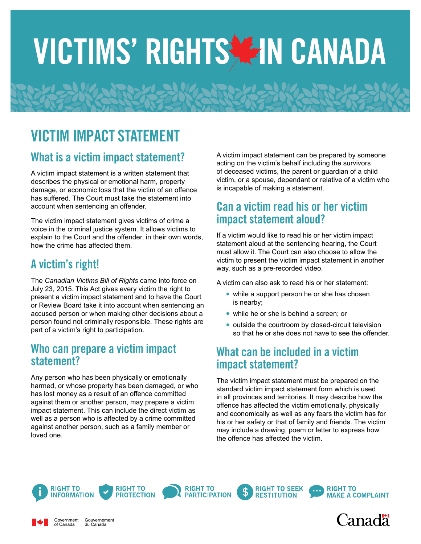# VICTIMS' RIGHTS AIN CANADA

## VICTIM IMPACT STATEMENT

#### What is a victim impact statement?

A victim impact statement is a written statement that describes the physical or emotional harm, property damage, or economic loss that the victim of an offence has suffered. The Court must take the statement into account when sentencing an offender.

The victim impact statement gives victims of crime a voice in the criminal justice system. It allows victims to explain to the Court and the offender, in their own words, how the crime has affected them.

#### A victim's right!

The *Canadian Victims Bill of Rights* came into force on July 23, 2015. This Act gives every victim the right to present a victim impact statement and to have the Court or Review Board take it into account when sentencing an accused person or when making other decisions about a person found not criminally responsible. These rights are part of a victim's right to participation.

#### Who can prepare a victim impact statement?

Any person who has been physically or emotionally harmed, or whose property has been damaged, or who has lost money as a result of an offence committed against them or another person, may prepare a victim impact statement. This can include the direct victim as well as a person who is affected by a crime committed against another person, such as a family member or loved one.

A victim impact statement can be prepared by someone acting on the victim's behalf including the survivors of deceased victims, the parent or guardian of a child victim, or a spouse, dependant or relative of a victim who is incapable of making a statement.

#### Can a victim read his or her victim impact statement aloud?

If a victim would like to read his or her victim impact statement aloud at the sentencing hearing, the Court must allow it. The Court can also choose to allow the victim to present the victim impact statement in another way, such as a pre-recorded video.

A victim can also ask to read his or her statement:

- **•** while a support person he or she has chosen is nearby;
- **•** while he or she is behind a screen; or
- **•** outside the courtroom by closed-circuit television so that he or she does not have to see the offender.

#### What can be included in a victim impact statement?

**RESTITUTION** 

The victim impact statement must be prepared on the standard victim impact statement form which is used in all provinces and territories. It may describe how the offence has affected the victim emotionally, physically and economically as well as any fears the victim has for his or her safety or that of family and friends. The victim may include a drawing, poem or letter to express how the offence has affected the victim.



Government of Canada

Gouvernement du Canada